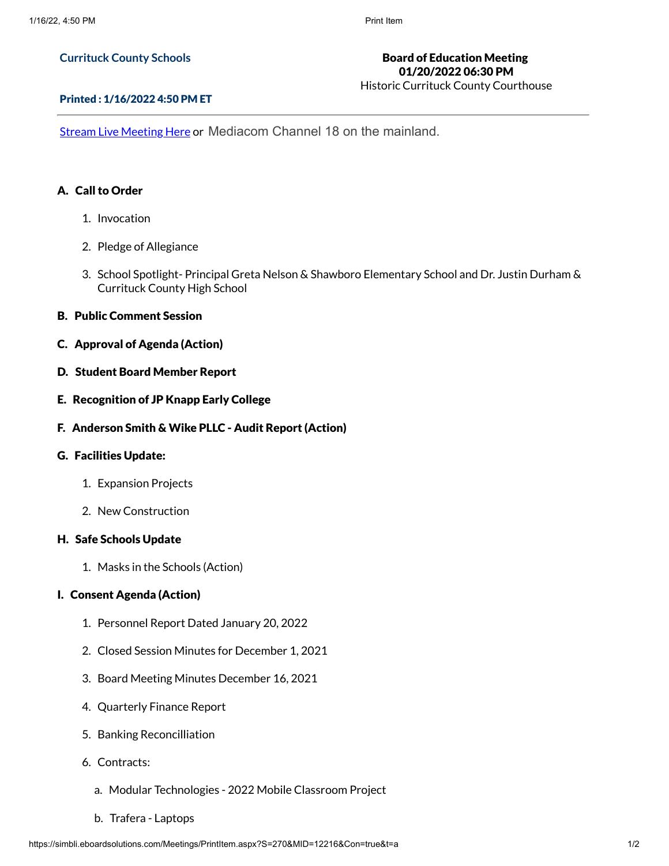#### **Currituck County Schools**

# Board of Education Meeting 01/20/2022 06:30 PM

Historic Currituck County Courthouse

#### Printed : 1/16/2022 4:50 PM ET

Stream Live [Meeting](http://currituckcountync.iqm2.com/Citizens/default.aspx) Here or Mediacom Channel 18 on the mainland.

### A. Call to Order

- 1. Invocation
- 2. Pledge of Allegiance
- 3. School Spotlight- Principal Greta Nelson & Shawboro Elementary School and Dr. Justin Durham & Currituck County High School
- B. Public Comment Session
- C. Approval of Agenda (Action)
- D. Student Board Member Report
- E. Recognition of JP Knapp Early College
- F. Anderson Smith & Wike PLLC Audit Report (Action)

### G. Facilities Update:

- 1. Expansion Projects
- 2. New Construction

### H. Safe Schools Update

1. Masks in the Schools (Action)

# I. Consent Agenda (Action)

- 1. Personnel Report Dated January 20, 2022
- 2. Closed Session Minutes for December 1, 2021
- 3. Board Meeting Minutes December 16, 2021
- 4. Quarterly Finance Report
- 5. Banking Reconcilliation
- 6. Contracts:
	- a. Modular Technologies 2022 Mobile Classroom Project
	- b. Trafera Laptops